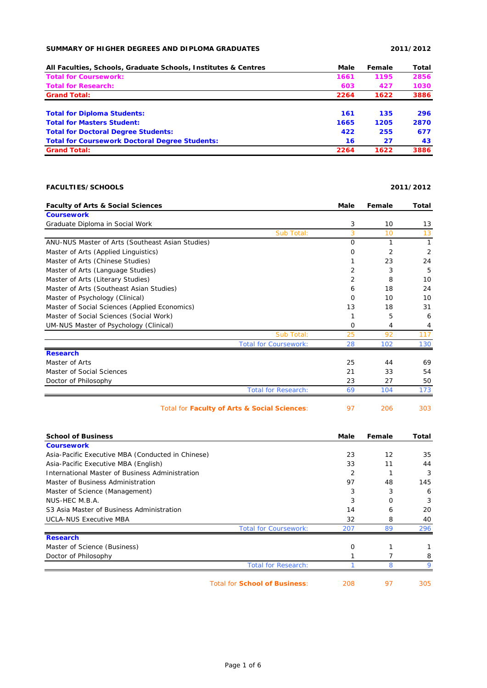## **SUMMARY OF HIGHER DEGREES AND DIPLOMA GRADUATES 2011/2012**

| All Faculties, Schools, Graduate Schools, Institutes & Centres | Male | Female | Total |
|----------------------------------------------------------------|------|--------|-------|
| <b>Total for Coursework:</b>                                   | 1661 | 1195   | 2856  |
| <b>Total for Research:</b>                                     | 603  | 427    | 1030  |
| <b>Grand Total:</b>                                            | 2264 | 1622   | 3886  |
| <b>Total for Diploma Students:</b>                             | 161  | 135    | 296   |
| <b>Total for Masters Student:</b>                              | 1665 | 1205   | 2870  |
| <b>Total for Doctoral Degree Students:</b>                     | 422  | 255    | 677   |
| <b>Total for Coursework Doctoral Degree Students:</b>          | 16   | 27     | 43    |
| <b>Grand Total:</b>                                            | 2264 | 1622   | 3886  |

## **FACULTIES/SCHOOLS 2011/2012**

**Faculty of Arts & Social Sciences Male Female Total Coursework** Graduate Diploma in Social Work 3 10 13 Sub Total: 3 10 13 ANU-NUS Master of Arts (Southeast Asian Studies) 0 1 1 Master of Arts (Applied Linguistics) 0 2 2 Master of Arts (Chinese Studies) 1 23 24 Master of Arts (Language Studies) 2 3 5 Master of Arts (Literary Studies) 2 8 10 Master of Arts (Southeast Asian Studies) 6 18 24 Master of Psychology (Clinical) and the control of the control of the control of the control of the control of the control of the control of the control of the control of the control of the control of the control of the co Master of Social Sciences (Applied Economics) 13 18 31 Master of Social Sciences (Social Work) 1 5 6 6 UM-NUS Master of Psychology (Clinical) **1999 1999 1999 1999 1999 1999 1999 1999 1999 1999 1999 1999 1999 1999 1999 1999 1999 1999 1999 1999 1999 1999 1999 1999 1999 1999** Sub Total: 25 92 117 Total for Coursework: 28 102 130 **Research** Master of Arts 25 25 44 69 Master of Social Sciences 21 33 54 Doctor of Philosophy 23 27 50 Total for Research: 69 104 173

|  |  | Total for Faculty of Arts & Social Sciences: |  | 206 | 303 |
|--|--|----------------------------------------------|--|-----|-----|
|--|--|----------------------------------------------|--|-----|-----|

| <b>School of Business</b>                         |                                      | Male | Female | Total |
|---------------------------------------------------|--------------------------------------|------|--------|-------|
| <b>Coursework</b>                                 |                                      |      |        |       |
| Asia-Pacific Executive MBA (Conducted in Chinese) |                                      | 23   | 12     | 35    |
| Asia-Pacific Executive MBA (English)              |                                      | 33   | 11     | 44    |
| International Master of Business Administration   |                                      | 2    |        | 3     |
| Master of Business Administration                 |                                      | 97   | 48     | 145   |
| Master of Science (Management)                    |                                      | 3    | 3      | 6     |
| NUS-HEC M.B.A.                                    |                                      | 3    | O      | 3     |
| S3 Asia Master of Business Administration         |                                      | 14   | 6      | 20    |
| <b>UCLA-NUS Executive MBA</b>                     |                                      | 32   | 8      | 40    |
|                                                   | <b>Total for Coursework:</b>         | 207  | 89     | 296   |
| <b>Research</b>                                   |                                      |      |        |       |
| Master of Science (Business)                      |                                      | 0    |        |       |
| Doctor of Philosophy                              |                                      |      |        | 8     |
|                                                   | <b>Total for Research:</b>           |      | 8      | Q     |
|                                                   | <b>Total for School of Business:</b> | 208  | 97     | 305   |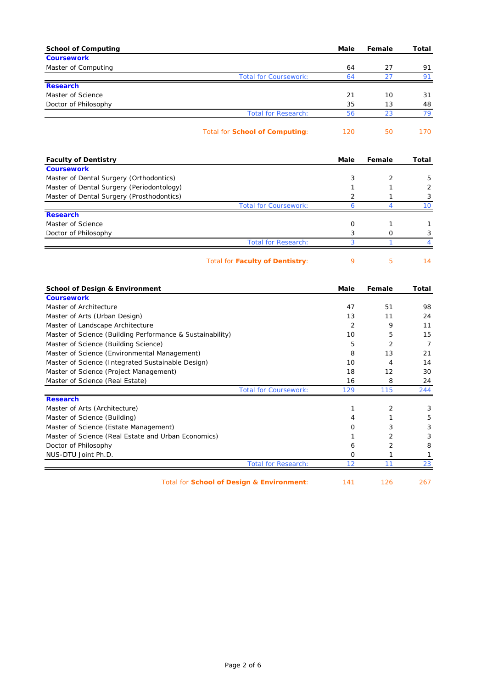| <b>School of Computing</b>                                                                        | Male         | Female   | Total          |
|---------------------------------------------------------------------------------------------------|--------------|----------|----------------|
| <b>Coursework</b>                                                                                 |              |          |                |
| Master of Computing                                                                               | 64           | 27       | 91             |
| <b>Total for Coursework:</b>                                                                      | 64           | 27       | 91             |
| <b>Research</b>                                                                                   |              |          |                |
| Master of Science                                                                                 | 21           | 10       | 31             |
| Doctor of Philosophy<br><b>Total for Research:</b>                                                | 35<br>56     | 13<br>23 | 48<br>79       |
|                                                                                                   |              |          |                |
| <b>Total for School of Computing:</b>                                                             | 120          | 50       | 170            |
| <b>Faculty of Dentistry</b>                                                                       | Male         | Female   | Total          |
| <b>Coursework</b>                                                                                 |              |          |                |
| Master of Dental Surgery (Orthodontics)                                                           | 3            | 2        | 5              |
| Master of Dental Surgery (Periodontology)                                                         | 1            | 1        | 2              |
| Master of Dental Surgery (Prosthodontics)                                                         | 2            | 1        | 3              |
| <b>Total for Coursework:</b>                                                                      | 6            | 4        | 10             |
| <b>Research</b><br>Master of Science                                                              | 0            | 1        | 1              |
| Doctor of Philosophy                                                                              | 3            | 0        | 3              |
| <b>Total for Research:</b>                                                                        | 3            | 1        | 4              |
|                                                                                                   |              |          |                |
| Total for <b>Faculty of Dentistry:</b>                                                            | 9            | 5        | 14             |
| <b>School of Design &amp; Environment</b>                                                         | Male         | Female   | Total          |
| <b>Coursework</b>                                                                                 |              |          |                |
| Master of Architecture                                                                            | 47           | 51       | 98             |
| Master of Arts (Urban Design)                                                                     | 13           | 11       | 24             |
| Master of Landscape Architecture                                                                  | 2            | 9        | 11             |
| Master of Science (Building Performance & Sustainability)                                         | 10           | 5        | 15             |
| Master of Science (Building Science)                                                              | 5            | 2        | $\overline{7}$ |
| Master of Science (Environmental Management)<br>Master of Science (Integrated Sustainable Design) | 8<br>10      | 13<br>4  | 21<br>14       |
| Master of Science (Project Management)                                                            | 18           | 12       | 30             |
| Master of Science (Real Estate)                                                                   | 16           | 8        | 24             |
| <b>Total for Coursework:</b>                                                                      | 129          | 115      | 244            |
| <b>Research</b>                                                                                   |              |          |                |
| Master of Arts (Architecture)                                                                     | $\mathbf{1}$ | 2        | 3              |
| Master of Science (Building)                                                                      | 4            | 1        | 5              |
| Master of Science (Estate Management)                                                             | 0            | 3        | 3              |
| Master of Science (Real Estate and Urban Economics)                                               | 1            | 2        | 3              |
| Doctor of Philosophy                                                                              | 6            | 2        | 8              |
| NUS-DTU Joint Ph.D.                                                                               | 0            | 1        | $\mathbf{1}$   |
| <b>Total for Research:</b>                                                                        | 12           | 11       | 23             |
| Total for School of Design & Environment:                                                         | 141          | 126      | 267            |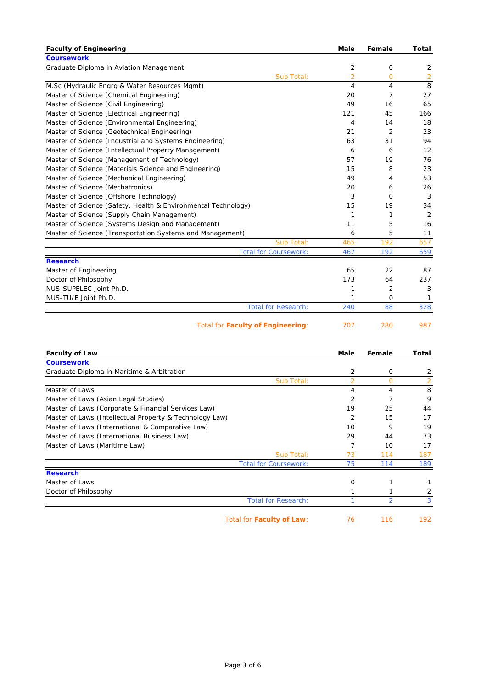| <b>Faculty of Engineering</b>                                 | Male           | Female         | <b>Total</b>   |
|---------------------------------------------------------------|----------------|----------------|----------------|
| <b>Coursework</b>                                             |                |                |                |
| Graduate Diploma in Aviation Management                       | 2              | 0              | 2              |
| Sub Total:                                                    | $\overline{2}$ | $\overline{O}$ | $\overline{2}$ |
| M.Sc (Hydraulic Engrg & Water Resources Mgmt)                 | 4              | 4              | 8              |
| Master of Science (Chemical Engineering)                      | 20             | 7              | 27             |
| Master of Science (Civil Engineering)                         | 49             | 16             | 65             |
| Master of Science (Electrical Engineering)                    | 121            | 45             | 166            |
| Master of Science (Environmental Engineering)                 | 4              | 14             | 18             |
| Master of Science (Geotechnical Engineering)                  | 21             | 2              | 23             |
| Master of Science (Industrial and Systems Engineering)        | 63             | 31             | 94             |
| Master of Science (Intellectual Property Management)          | 6              | 6              | 12             |
| Master of Science (Management of Technology)                  | 57             | 19             | 76             |
| Master of Science (Materials Science and Engineering)         | 15             | 8              | 23             |
| Master of Science (Mechanical Engineering)                    | 49             | 4              | 53             |
| Master of Science (Mechatronics)                              | 20             | 6              | 26             |
| Master of Science (Offshore Technology)                       | 3              | 0              | 3              |
| Master of Science (Safety, Health & Environmental Technology) | 15             | 19             | 34             |
| Master of Science (Supply Chain Management)                   | 1              | 1              | $\overline{2}$ |
| Master of Science (Systems Design and Management)             | 11             | 5              | 16             |
| Master of Science (Transportation Systems and Management)     | 6              | 5              | 11             |
| Sub Total:                                                    | 465            | 192            | 657            |
| <b>Total for Coursework:</b>                                  | 467            | 192            | 659            |
| <b>Research</b>                                               |                |                |                |
| Master of Engineering                                         | 65             | 22             | 87             |
| Doctor of Philosophy                                          | 173            | 64             | 237            |
| NUS-SUPELEC Joint Ph.D.                                       | 1              | 2              | 3              |
| NUS-TU/E Joint Ph.D.                                          | 1              | 0              | 1              |
| <b>Total for Research:</b>                                    | 240            | 88             | 328            |
| <b>Total for Faculty of Engineering:</b>                      | 707            | 280            | 987            |

| <b>Faculty of Law</b>                                   | Male           | Female   | Total |
|---------------------------------------------------------|----------------|----------|-------|
| <b>Coursework</b>                                       |                |          |       |
| Graduate Diploma in Maritime & Arbitration              | $\overline{2}$ | 0        | 2     |
| Sub Total:                                              | 2              | $\Omega$ |       |
| Master of Laws                                          | 4              | 4        | 8     |
| Master of Laws (Asian Legal Studies)                    | 2              |          | 9     |
| Master of Laws (Corporate & Financial Services Law)     | 19             | 25       | 44    |
| Master of Laws (Intellectual Property & Technology Law) | 2              | 15       | 17    |
| Master of Laws (International & Comparative Law)        | 10             | 9        | 19    |
| Master of Laws (International Business Law)             | 29             | 44       | 73    |
| Master of Laws (Maritime Law)                           |                | 10       | 17    |
| Sub Total:                                              | 73             | 114      | 187   |
| <b>Total for Coursework:</b>                            | 75             | 114      | 189   |
| <b>Research</b>                                         |                |          |       |
| Master of Laws                                          | 0              |          |       |
| Doctor of Philosophy                                    |                |          |       |
| <b>Total for Research:</b>                              |                |          |       |
| Total for <b>Faculty of Law:</b>                        | 76             | 116      | 192   |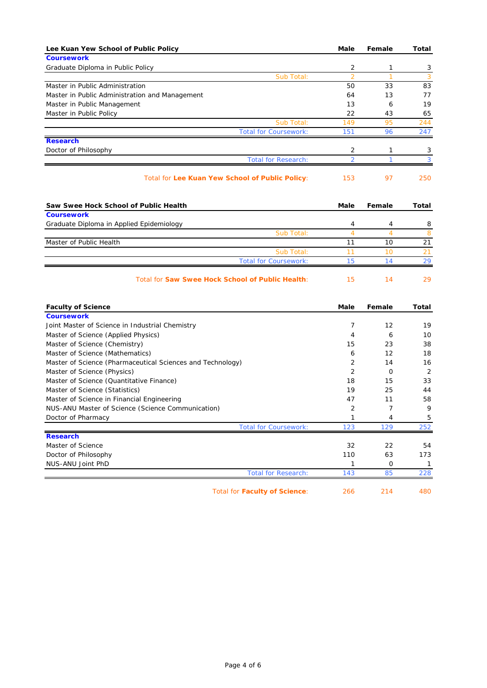| Lee Kuan Yew School of Public Policy                       | Male           | Female         | Total          |
|------------------------------------------------------------|----------------|----------------|----------------|
| <b>Coursework</b>                                          |                |                |                |
| Graduate Diploma in Public Policy                          | 2              | 1              | 3              |
| Sub Total:                                                 | $\overline{2}$ | $\mathbf{1}$   | 3              |
| Master in Public Administration                            | 50             | 33             | 83             |
| Master in Public Administration and Management             | 64             | 13             | 77             |
| Master in Public Management                                | 13             | 6              | 19             |
| Master in Public Policy                                    | 22             | 43             | 65             |
| Sub Total:                                                 | 149            | 95             | 244            |
| <b>Total for Coursework:</b>                               | 151            | 96             | 247            |
| <b>Research</b>                                            |                |                |                |
| Doctor of Philosophy                                       | 2              | 1              | 3              |
| <b>Total for Research:</b>                                 | $\overline{2}$ | 1              | 3              |
| Total for Lee Kuan Yew School of Public Policy:            | 153            | 97             | 250            |
| Saw Swee Hock School of Public Health                      | Male           | Female         | Total          |
| <b>Coursework</b>                                          |                |                |                |
| Graduate Diploma in Applied Epidemiology                   | 4              | 4              | 8              |
| Sub Total:                                                 | $\overline{4}$ | $\overline{4}$ | 8              |
| Master of Public Health                                    | 11             | 10             | 21             |
| Sub Total:                                                 | 11             | 10             | 21             |
| <b>Total for Coursework:</b>                               | 15             | 14             | 29             |
| Total for Saw Swee Hock School of Public Health:           | 15             | 14             | 29             |
| <b>Faculty of Science</b>                                  | Male           | Female         | Total          |
| <b>Coursework</b>                                          |                |                |                |
| Joint Master of Science in Industrial Chemistry            | $\overline{7}$ | 12             | 19             |
| Master of Science (Applied Physics)                        | 4              | 6              | 10             |
| Master of Science (Chemistry)                              | 15             | 23             | 38             |
| Master of Science (Mathematics)                            | 6              | 12             | 18             |
| Master of Science (Pharmaceutical Sciences and Technology) | 2              | 14             | 16             |
| Master of Science (Physics)                                | 2              | $\circ$        | $\overline{2}$ |
| Master of Science (Quantitative Finance)                   | 18             | 15             | 33             |
| Master of Science (Statistics)                             | 19             | 25             | 44             |
| Master of Science in Financial Engineering                 | 47             | 11             | 58             |
| NUS-ANU Master of Science (Science Communication)          | $\overline{2}$ | $\overline{7}$ | 9              |
| Doctor of Pharmacy                                         | 1              | 4              | 5              |
| <b>Total for Coursework:</b>                               | 123            | 129            | 252            |
| <b>Research</b>                                            |                |                |                |
| Master of Science                                          | 32             | 22             | 54             |

Doctor of Philosophy **110** 63 173

| Joint PhD<br>NUS-ANU |       |   |     |
|----------------------|-------|---|-----|
|                      | `∩†al | Æ | 98' |
|                      |       |   |     |

Total for **Faculty of Science**: 266 214 480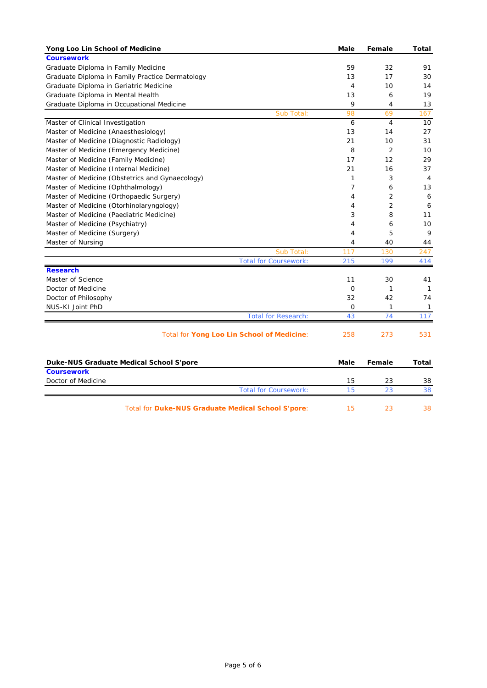| Yong Loo Lin School of Medicine                 | <b>Male</b>    | Female         | Total          |
|-------------------------------------------------|----------------|----------------|----------------|
| <b>Coursework</b>                               |                |                |                |
| Graduate Diploma in Family Medicine             | 59             | 32             | 91             |
| Graduate Diploma in Family Practice Dermatology | 13             | 17             | 30             |
| Graduate Diploma in Geriatric Medicine          | $\overline{4}$ | 10             | 14             |
| Graduate Diploma in Mental Health               | 13             | 6              | 19             |
| Graduate Diploma in Occupational Medicine       | 9              | 4              | 13             |
| Sub Total:                                      | 98             | 69             | 167            |
| Master of Clinical Investigation                | 6              | 4              | 10             |
| Master of Medicine (Anaesthesiology)            | 13             | 14             | 27             |
| Master of Medicine (Diagnostic Radiology)       | 21             | 10             | 31             |
| Master of Medicine (Emergency Medicine)         | 8              | $\overline{2}$ | 10             |
| Master of Medicine (Family Medicine)            | 17             | 12             | 29             |
| Master of Medicine (Internal Medicine)          | 21             | 16             | 37             |
| Master of Medicine (Obstetrics and Gynaecology) | 1              | 3              | $\overline{4}$ |
| Master of Medicine (Ophthalmology)              | $\overline{7}$ | 6              | 13             |
| Master of Medicine (Orthopaedic Surgery)        | 4              | 2              | 6              |
| Master of Medicine (Otorhinolaryngology)        | 4              | 2              | 6              |
| Master of Medicine (Paediatric Medicine)        | 3              | 8              | 11             |
| Master of Medicine (Psychiatry)                 | 4              | 6              | 10             |
| Master of Medicine (Surgery)                    | 4              | 5              | 9              |
| Master of Nursing                               | 4              | 40             | 44             |
| Sub Total:                                      | 117            | 130            | 247            |
| <b>Total for Coursework:</b>                    | 215            | 199            | 414            |
| <b>Research</b>                                 |                |                |                |
| Master of Science                               | 11             | 30             | 41             |
| Doctor of Medicine                              | 0              | 1              | $\mathbf{1}$   |
| Doctor of Philosophy                            | 32             | 42             | 74             |
| NUS-KI Joint PhD                                | 0              | 1              | $\mathbf{1}$   |
| <b>Total for Research:</b>                      | 43             | 74             | 117            |
| Total for Yong Loo Lin School of Medicine:      | 258            | 273            | 531            |
|                                                 |                |                |                |
| Duke-NUS Graduate Medical School S'pore         | Male           | Female         | Total          |
| <b>Coursework</b>                               |                |                |                |
| Doctor of Medicine                              | 15             | 23             | 38             |
| <b>Total for Coursework:</b>                    | 15             | 23             | 38             |

Total for **Duke-NUS Graduate Medical School S'pore**: 15 23 38